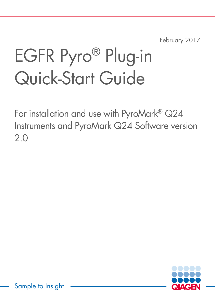February 2017

# EGFR Pyro® Plug-in Quick-Start Guide

For installation and use with PyroMark® Q24 Instruments and PyroMark Q24 Software version 2.0

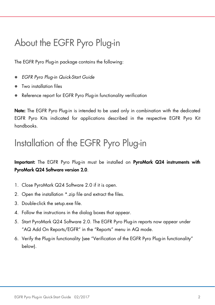# About the EGFR Pyro Plug-in

The EGFR Pyro Plug-in package contains the following:

- *EGFR Pyro Plug-in Quick-Start Guide*
- Two installation files
- Reference report for EGFR Pyro Plug-in functionality verification

Note: The EGFR Pyro Plug-in is intended to be used only in combination with the dedicated EGFR Pyro Kits indicated for applications described in the respective EGFR Pyro Kit handbooks.

#### Installation of the EGFR Pyro Plug-in

Important: The EGFR Pyro Plug-in must be installed on PyroMark Q24 instruments with PyroMark Q24 Software version 2.0.

- 1. Close PyroMark Q24 Software 2.0 if it is open.
- 2. Open the installation \*.zip file and extract the files.
- 3. Double-click the setup.exe file.
- 4. Follow the instructions in the dialog boxes that appear.
- 5. Start PyroMark Q24 Software 2.0. The EGFR Pyro Plug-in reports now appear under "AQ Add On Reports/EGFR" in the "Reports" menu in AQ mode.
- 6. Verify the Plug-in functionality (see "Verification of the EGFR Pyro Plug-in functionality" below).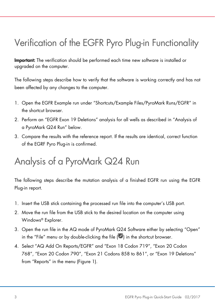# Verification of the EGFR Pyro Plug-in Functionality

Important: The verification should be performed each time new software is installed or upgraded on the computer.

The following steps describe how to verify that the software is working correctly and has not been affected by any changes to the computer.

- 1. Open the EGFR Example run under "Shortcuts/Example Files/PyroMark Runs/EGFR" in the shortcut browser.
- 2. Perform an "EGFR Exon 19 Deletions" analysis for all wells as described in "Analysis of a PyroMark Q24 Run" below.
- 3. Compare the results with the reference report. If the results are identical, correct function of the EGRF Pyro Plug-in is confirmed.

## Analysis of a PyroMark Q24 Run

The following steps describe the mutation analysis of a finished EGFR run using the EGFR Plug-in report.

- 1. Insert the USB stick containing the processed run file into the computer's USB port.
- 2. Move the run file from the USB stick to the desired location on the computer using Windows® Explorer.
- 3. Open the run file in the AQ mode of PyroMark Q24 Software either by selecting "Open" in the "File" menu or by double-clicking the file  $(\bullet)$  in the shortcut browser.
- 4. Select "AQ Add On Reports/EGFR" and "Exon 18 Codon 719", "Exon 20 Codon 768", "Exon 20 Codon 790", "Exon 21 Codons 858 to 861", or "Exon 19 Deletions" from "Reports" in the menu (Figure 1).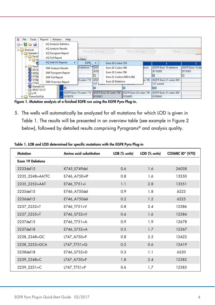

Figure 1. Mutation analysis of a finished EGFR run using the EGFR Pyro Plug-in.

5. The wells will automatically be analyzed for all mutations for which LOD is given in Table 1. The results will be presented in an overview table (see example in Figure 2 below), followed by detailed results comprising Pyrograms® and analysis quality.

| <b>Mutation</b>          | Amino acid substitution | LOB (% units) | LOD (% units) | COSMIC ID* (V70) |
|--------------------------|-------------------------|---------------|---------------|------------------|
| <b>Exon 19 Deletions</b> |                         |               |               |                  |
| 2233del15                | K745 E749del            | 0.6           | 1.6           | 26038            |
| 2235_2248>AATTC          | E746 A750>IP            | 0.8           | 1.6           | 13550            |
| 2235_2252>AAT            | E746_T751>I             | 1.1           | 2.8           | 13551            |
| 2235del15                | E746 A750del            | 0.9           | 1.8           | 6223             |
| 2236del15                | E746 A750del            | 0.2           | 1.2           | 6225             |
| 2237 2252>T              | E746 T751>V             | 0.8           | 2.4           | 12386            |
| 2237_2255>T              | E746_S752>V             | 0.6           | 1.6           | 12384            |
| 2237del15                | E746 T751>A             | 0.9           | 1.9           | 12678            |
| 2237del18                | E746_S752>A             | 0.5           | 1.7           | 12367            |
| 2238 2248>GC             | L747 A750>P             | 0.8           | 2.5           | 12422            |
| 2238 2252>GCA            | L747_T751>Q             | 0.2           | 0.6           | 12419            |
| 2238del18                | E746 S752>D             | 0.3           | 1.1           | 6220             |
| 2239 2248>C              | L747 A750>P             | 1.8           | 2.4           | 12382            |
| 2239 2251>C              | L747_T751>P             | 0.6           | 1.7           | 12383            |

Table 1. LOB and LOD determined for specific mutations with the EGFR Pyro Plug-in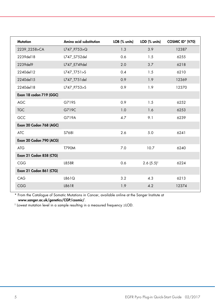| Amino acid substitution | LOB (% units) | LOD (% units)           | COSMIC ID* (V70) |
|-------------------------|---------------|-------------------------|------------------|
| L747_P753>Q             | 1.3           | 3.9                     | 12387            |
| L747 S752del            | 0.6           | 1.5                     | 6255             |
| L747 E749del            | 2.0           | 3.7                     | 6218             |
| L747 T751>S             | 0.4           | 1.5                     | 6210             |
| L747_T751del            | 0.9           | 1.9                     | 12369            |
| L747 P753>S             | 0.9           | 1.9                     | 12370            |
|                         |               |                         |                  |
| G719S                   | 0.9           | 1.5                     | 6252             |
| G719C                   | 1.0           | 1.6                     | 6253             |
| G719A                   | 4.7           | 9.1                     | 6239             |
|                         |               |                         |                  |
| S768I                   | 2.6           | 5.0                     | 6241             |
|                         |               |                         |                  |
| <b>T790M</b>            | 7.0           | 10.7                    | 6240             |
|                         |               |                         |                  |
| L858R                   | 0.6           | $2.6(5.5)$ <sup>†</sup> | 6224             |
|                         |               |                         |                  |
| L861Q                   | 3.2           | 4.3                     | 6213             |
| L861R                   | 1.9           | 4.2                     | 12374            |
|                         |               |                         |                  |

\* From the Catalogue of Somatic Mutations in Cancer, available online at the Sanger Institute at www.sanger.ac.uk/genetics/CGP/cosmic/.

† Lowest mutation level in a sample resulting in a measured frequency ≥LOD.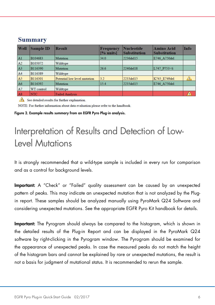#### **Summary**

| <b>Well</b>    | <b>Sample ID</b> | <b>Result</b>                | <b>Frequency</b><br>[% units] | <b>Nucleotide</b><br><b>Substitution</b> | <b>Amino Acid</b><br><b>Substitution</b> | Info |
|----------------|------------------|------------------------------|-------------------------------|------------------------------------------|------------------------------------------|------|
| A1             | B104683          | Mutation                     | 34.0                          | 2236del15                                | E746 A750del                             |      |
| A2             | B105072          | Wildtype                     |                               |                                          |                                          |      |
| A3             | B116390          | Mutation                     | 26.6                          | 2240del18                                | L747 P753>S                              |      |
| AA             | B116389          | Wildtype                     |                               |                                          |                                          |      |
| A <sub>5</sub> | B116301          | Potential low level mutation | 3.2                           | 2233del15                                | K745 E749del                             | 41,  |
| A6             | B116392          | Mutation                     | 15.4                          | 2235del15                                | E746 A750del                             |      |
| A7             | WT control       | Wildtype                     |                               |                                          |                                          |      |
| A8             | <b>NTC</b>       | <b>Failed Analysis</b>       |                               |                                          |                                          | л    |

See detailed results for further explanation.

NOTE: For further information about data evaluation please refer to the handbook.

Figure 2. Example results summary from an EGFR Pyro Plug-in analysis.

### Interpretation of Results and Detection of Low-Level Mutations

It is strongly recommended that a wild-type sample is included in every run for comparison and as a control for background levels.

Important: A "Check" or "Failed" quality assessment can be caused by an unexpected pattern of peaks. This may indicate an unexpected mutation that is not analyzed by the Plugin report. These samples should be analyzed manually using PyroMark Q24 Software and considering unexpected mutations. See the appropriate EGFR Pyro Kit handbook for details.

Important: The Pyrogram should always be compared to the histogram, which is shown in the detailed results of the Plug-in Report and can be displayed in the PyroMark Q24 software by right-clicking in the Pyrogram window. The Pyrogram should be examined for the appearance of unexpected peaks. In case the measured peaks do not match the height of the histogram bars and cannot be explained by rare or unexpected mutations, the result is not a basis for judgment of mutational status. It is recommended to rerun the sample.